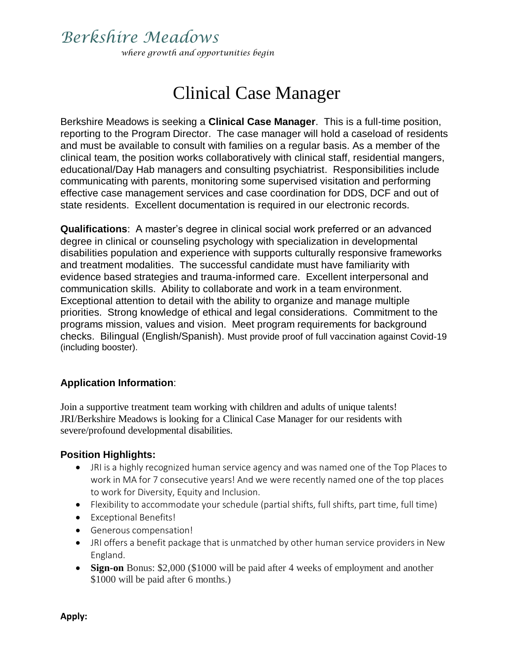## *Berkshire Meadows*

*where growth and opportunities begin*

## Clinical Case Manager

Berkshire Meadows is seeking a **Clinical Case Manager**. This is a full-time position, reporting to the Program Director. The case manager will hold a caseload of residents and must be available to consult with families on a regular basis. As a member of the clinical team, the position works collaboratively with clinical staff, residential mangers, educational/Day Hab managers and consulting psychiatrist. Responsibilities include communicating with parents, monitoring some supervised visitation and performing effective case management services and case coordination for DDS, DCF and out of state residents. Excellent documentation is required in our electronic records.

**Qualifications**: A master's degree in clinical social work preferred or an advanced degree in clinical or counseling psychology with specialization in developmental disabilities population and experience with supports culturally responsive frameworks and treatment modalities. The successful candidate must have familiarity with evidence based strategies and trauma-informed care. Excellent interpersonal and communication skills. Ability to collaborate and work in a team environment. Exceptional attention to detail with the ability to organize and manage multiple priorities. Strong knowledge of ethical and legal considerations. Commitment to the programs mission, values and vision. Meet program requirements for background checks. Bilingual (English/Spanish). Must provide proof of full vaccination against Covid-19 (including booster).

## **Application Information**:

Join a supportive treatment team working with children and adults of unique talents! JRI/Berkshire Meadows is looking for a Clinical Case Manager for our residents with severe/profound developmental disabilities.

## **Position Highlights:**

- JRI is a highly recognized human service agency and was named one of the Top Places to work in MA for 7 consecutive years! And we were recently named one of the top places to work for Diversity, Equity and Inclusion.
- Flexibility to accommodate your schedule (partial shifts, full shifts, part time, full time)
- Exceptional Benefits!
- Generous compensation!
- JRI offers a benefit package that is unmatched by other human service providers in New England.
- **Sign-on** Bonus: \$2,000 (\$1000 will be paid after 4 weeks of employment and another \$1000 will be paid after 6 months.)

**Apply:**